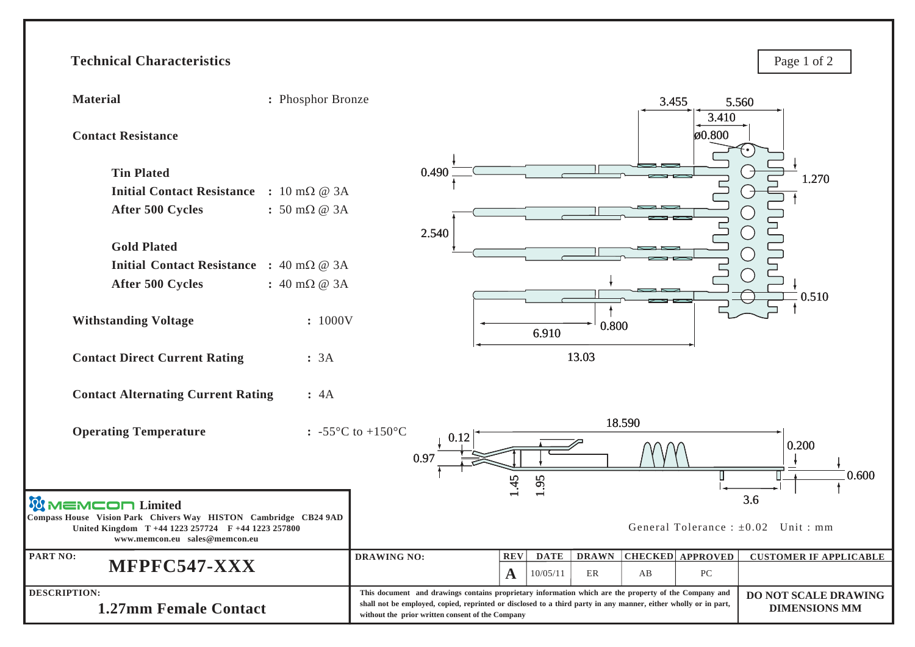